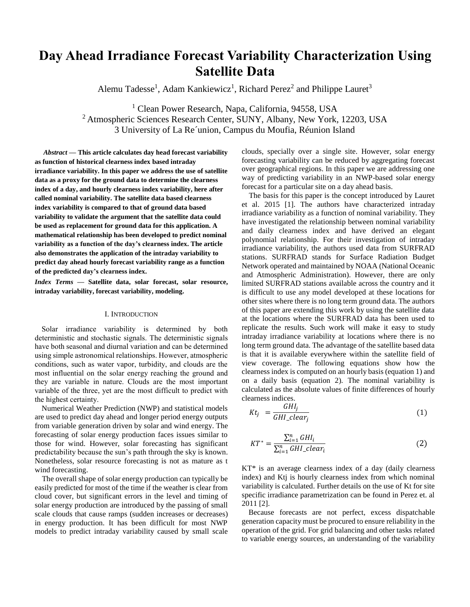# **Day Ahead Irradiance Forecast Variability Characterization Using Satellite Data**

Alemu Tadesse<sup>1</sup>, Adam Kankiewicz<sup>1</sup>, Richard Perez<sup>2</sup> and Philippe Lauret<sup>3</sup>

<sup>1</sup> Clean Power Research, Napa, California, 94558, USA <sup>2</sup> Atmospheric Sciences Research Center, SUNY, Albany, New York, 12203, USA 3 University of La Re´union, Campus du Moufia, Réunion Island

*Abstract* **— This article calculates day head forecast variability as function of historical clearness index based intraday irradiance variability. In this paper we address the use of satellite data as a proxy for the ground data to determine the clearness index of a day, and hourly clearness index variability, here after called nominal variability. The satellite data based clearness index variability is compared to that of ground data based variability to validate the argument that the satellite data could be used as replacement for ground data for this application. A mathematical relationship has been developed to predict nominal variability as a function of the day's clearness index. The article also demonstrates the application of the intraday variability to predict day ahead hourly forecast variability range as a function of the predicted day's clearness index.**

*Index Terms* **— Satellite data, solar forecast, solar resource, intraday variability, forecast variability, modeling.**

#### I. INTRODUCTION

Solar irradiance variability is determined by both deterministic and stochastic signals. The deterministic signals have both seasonal and diurnal variation and can be determined using simple astronomical relationships. However, atmospheric conditions, such as water vapor, turbidity, and clouds are the most influential on the solar energy reaching the ground and they are variable in nature. Clouds are the most important variable of the three, yet are the most difficult to predict with the highest certainty.

Numerical Weather Prediction (NWP) and statistical models are used to predict day ahead and longer period energy outputs from variable generation driven by solar and wind energy. The forecasting of solar energy production faces issues similar to those for wind. However, solar forecasting has significant predictability because the sun's path through the sky is known. Nonetheless, solar resource forecasting is not as mature as t wind forecasting.

The overall shape of solar energy production can typically be easily predicted for most of the time if the weather is clear from cloud cover, but significant errors in the level and timing of solar energy production are introduced by the passing of small scale clouds that cause ramps (sudden increases or decreases) in energy production. It has been difficult for most NWP models to predict intraday variability caused by small scale clouds, specially over a single site. However, solar energy forecasting variability can be reduced by aggregating forecast over geographical regions. In this paper we are addressing one way of predicting variability in an NWP-based solar energy forecast for a particular site on a day ahead basis.

The basis for this paper is the concept introduced by Lauret et al. 2015 [1]. The authors have characterized intraday irradiance variability as a function of nominal variability. They have investigated the relationship between nominal variability and daily clearness index and have derived an elegant polynomial relationship. For their investigation of intraday irradiance variability, the authors used data from SURFRAD stations. SURFRAD stands for Surface Radiation Budget Network operated and maintained by NOAA (National Oceanic and Atmospheric Administration). However, there are only limited SURFRAD stations available across the country and it is difficult to use any model developed at these locations for other sites where there is no long term ground data. The authors of this paper are extending this work by using the satellite data at the locations where the SURFRAD data has been used to replicate the results. Such work will make it easy to study intraday irradiance variability at locations where there is no long term ground data. The advantage of the satellite based data is that it is available everywhere within the satellite field of view coverage. The following equations show how the clearness index is computed on an hourly basis (equation 1) and on a daily basis (equation 2). The nominal variability is calculated as the absolute values of finite differences of hourly clearness indices.

$$
Kt_j = \frac{GHI_j}{GHI\_clear_j} \tag{1}
$$

$$
KT^* = \frac{\sum_{i=1}^{n} GHI_i}{\sum_{i=1}^{n} GHI_clear_i}
$$
 (2)

KT\* is an average clearness index of a day (daily clearness index) and Ktj is hourly clearness index from which nominal variability is calculated. Further details on the use of Kt for site specific irradiance parametrization can be found in Perez et. al 2011 [2].

Because forecasts are not perfect, excess dispatchable generation capacity must be procured to ensure reliability in the operation of the grid. For grid balancing and other tasks related to variable energy sources, an understanding of the variability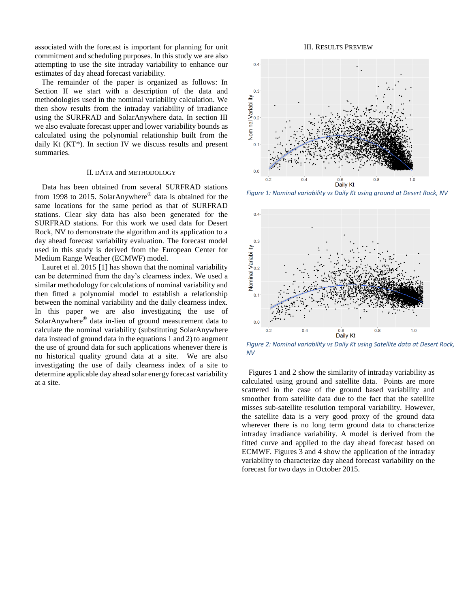associated with the forecast is important for planning for unit commitment and scheduling purposes. In this study we are also attempting to use the site intraday variability to enhance our estimates of day ahead forecast variability.

The remainder of the paper is organized as follows: In Section II we start with a description of the data and methodologies used in the nominal variability calculation. We then show results from the intraday variability of irradiance using the SURFRAD and SolarAnywhere data. In section III we also evaluate forecast upper and lower variability bounds as calculated using the polynomial relationship built from the daily Kt (KT\*). In section IV we discuss results and present summaries.

#### II. DATA and METHODOLOGY

Data has been obtained from several SURFRAD stations from 1998 to 2015. SolarAnywhere® data is obtained for the same locations for the same period as that of SURFRAD stations. Clear sky data has also been generated for the SURFRAD stations. For this work we used data for Desert Rock, NV to demonstrate the algorithm and its application to a day ahead forecast variability evaluation. The forecast model used in this study is derived from the European Center for Medium Range Weather (ECMWF) model.

Lauret et al. 2015 [1] has shown that the nominal variability can be determined from the day's clearness index. We used a similar methodology for calculations of nominal variability and then fitted a polynomial model to establish a relationship between the nominal variability and the daily clearness index. In this paper we are also investigating the use of SolarAnywhere® data in-lieu of ground measurement data to calculate the nominal variability (substituting SolarAnywhere data instead of ground data in the equations 1 and 2) to augment the use of ground data for such applications whenever there is no historical quality ground data at a site. We are also investigating the use of daily clearness index of a site to determine applicable day ahead solar energy forecast variability at a site.

#### III. RESULTS PREVIEW



*Figure 1: Nominal variability vs Daily Kt using ground at Desert Rock, NV*



*Figure 2: Nominal variability vs Daily Kt using Satellite data at Desert Rock, NV*

Figures 1 and 2 show the similarity of intraday variability as calculated using ground and satellite data. Points are more scattered in the case of the ground based variability and smoother from satellite data due to the fact that the satellite misses sub-satellite resolution temporal variability. However, the satellite data is a very good proxy of the ground data wherever there is no long term ground data to characterize intraday irradiance variability. A model is derived from the fitted curve and applied to the day ahead forecast based on ECMWF. Figures 3 and 4 show the application of the intraday variability to characterize day ahead forecast variability on the forecast for two days in October 2015.